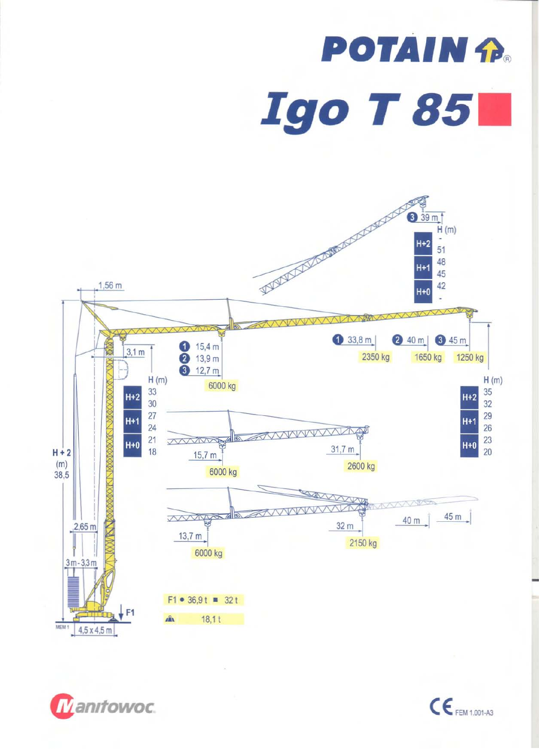## **POTAIN P Igo T 851**





 $\mathsf{CE}_{\mathsf{FEM 1.001\text{-}A3}}$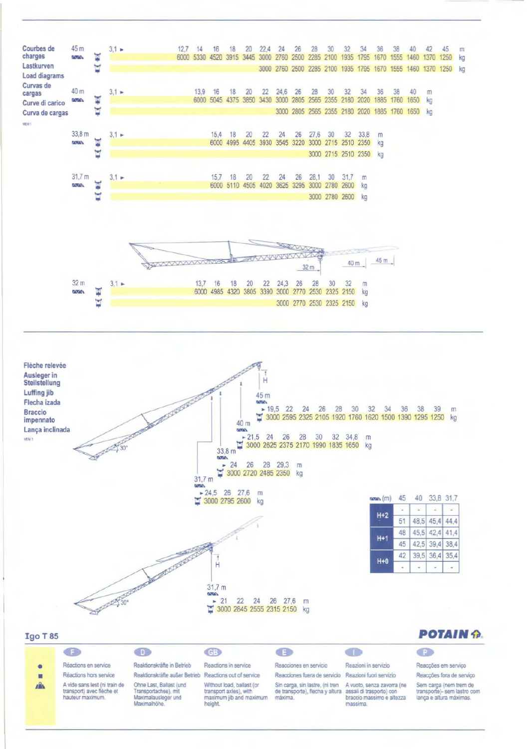



## **Igo T85**

|--|--|

|    | deo                                                                            | n a                                                                                     | C(3)                                                                                      | OE.                                                                                                    | C T                                                                 | Œ                                                                                |  |  |
|----|--------------------------------------------------------------------------------|-----------------------------------------------------------------------------------------|-------------------------------------------------------------------------------------------|--------------------------------------------------------------------------------------------------------|---------------------------------------------------------------------|----------------------------------------------------------------------------------|--|--|
| ۰  | Réactions en service                                                           | Reaktionskrafte in Betrieb                                                              | Reactions in service                                                                      | Reacciones en servicio                                                                                 | Reazioni in servizio                                                | Reaccões em servico                                                              |  |  |
| ■  | Réactions hors service                                                         | Reaktionskräfte außer Betrieb Reactions out of service                                  |                                                                                           | Reacciones fuera de servicio Reazioni fuori servizio                                                   |                                                                     | Reaccões fora de servico                                                         |  |  |
| n. | A vide sans lest (ni train de<br>transport) avec flèche et<br>hauteur maximum. | Ohne Last, Ballast (und)<br>Transportachse), mit<br>Maximalausleger und<br>Maximalhöhe. | Without load, ballast (or<br>transport axles), with<br>maximum jib and maximum<br>height. | Sin carga, sin lastre, (ni tren<br>de transporte), flecha y altura assali di trasporto) con<br>maxima. | A vuoto, senza zavorra (ne<br>braccio massimo e altezza<br>massima. | Sem carga (nem trem de<br>transporte)- sem lastro com<br>lança e altura máximas. |  |  |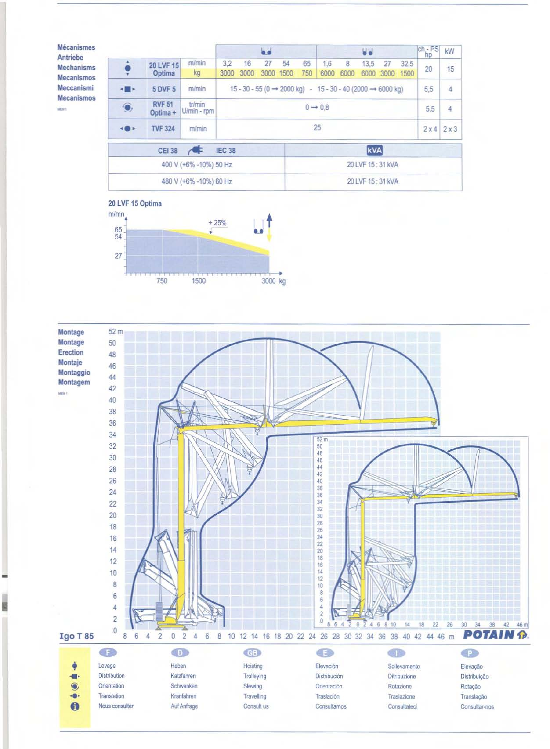| <b>Mécanismes</b><br>Antriebe<br><b>Mechanisms</b> |                                |                           |                       | اه ها<br><b>UU</b>                                                                               |                  |    |            |     |      |      | $\frac{\text{ch}}{\text{hp}}$ | kW          |      |    |
|----------------------------------------------------|--------------------------------|---------------------------|-----------------------|--------------------------------------------------------------------------------------------------|------------------|----|------------|-----|------|------|-------------------------------|-------------|------|----|
|                                                    |                                | 20 LVF 15<br>Optima       | m/min                 | 3.2                                                                                              | 16               | 27 | 54         | 65  | 1.6  | 8    | 13,5                          | 27          | 32,5 |    |
| <b>Mecanismos</b>                                  |                                |                           | kg                    | 3000                                                                                             | 3000             |    | 3000 1500  | 750 | 6000 | 6000 | 6000                          | 3000        | 1500 | 20 |
| Meccanismi<br><b>Mecanismos</b><br>MEM 1           |                                | <b>5 DVF 5</b>            | m/min                 | $15 - 30 - 55 (0 \rightarrow 2000 \text{ kg}) - 15 - 30 - 40 (2000 \rightarrow 6000 \text{ kg})$ |                  |    |            |     |      |      | 5,5                           | 4           |      |    |
|                                                    | $\bullet$                      | <b>RVF 51</b><br>Optima + | tr/min<br>U/min - rpm | $0 \rightarrow 0.8$                                                                              |                  |    |            |     |      |      | 5,5                           | 4           |      |    |
|                                                    |                                | <b>TVF 324</b>            | m/min                 | 25                                                                                               |                  |    |            |     |      |      |                               | $2x4$ $2x3$ |      |    |
|                                                    | <b>CEI 38</b><br><b>IEC 38</b> |                           |                       |                                                                                                  |                  |    | <b>kVA</b> |     |      |      |                               |             |      |    |
|                                                    | 400 V (+6% -10%) 50 Hz         |                           |                       |                                                                                                  | 20 LVF 15:31 kVA |    |            |     |      |      |                               |             |      |    |
|                                                    | 480 V (+6% -10%) 60 Hz         |                           |                       |                                                                                                  | 20 LVF 15:31 kVA |    |            |     |      |      |                               |             |      |    |



E